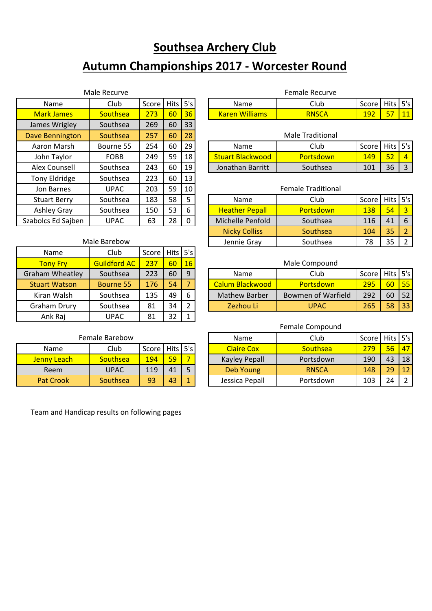# **Southsea Archery Club**

# **Autumn Championships 2017 - Worcester Round**

| Male Recurve           |             |       |             |     |  |  |  |  |
|------------------------|-------------|-------|-------------|-----|--|--|--|--|
| Name                   | Club        | Score | <b>Hits</b> | 5's |  |  |  |  |
| <b>Mark James</b>      | Southsea    | 273   | 60          | 36  |  |  |  |  |
| James Wrigley          | Southsea    | 269   | 60          | 33  |  |  |  |  |
| <b>Dave Bennington</b> | Southsea    | 257   | 60          | 28  |  |  |  |  |
| Aaron Marsh            | Bourne 55   | 254   | 60          | 29  |  |  |  |  |
| John Taylor            | FOBB        | 249   | 59          | 18  |  |  |  |  |
| Alex Counsell          | Southsea    | 243   | 60          | 19  |  |  |  |  |
| <b>Tony Eldridge</b>   | Southsea    | 223   | 60          | 13  |  |  |  |  |
| Jon Barnes             | <b>UPAC</b> | 203   | 59          | 10  |  |  |  |  |
| <b>Stuart Berry</b>    | Southsea    | 183   | 58          | 5   |  |  |  |  |
| <b>Ashley Gray</b>     | Southsea    | 150   | 53          | 6   |  |  |  |  |
| Szabolcs Ed Sajben     | <b>UPAC</b> | 63    | 28          | O   |  |  |  |  |

| <b>ASHICY UTAY</b>   | <b>JUULIISEA</b>    | ⊥J∪   | ر ر  | ັ              | 115c  |
|----------------------|---------------------|-------|------|----------------|-------|
| abolcs Ed Sajben     | <b>UPAC</b>         | 63    | 28   | 0              | Mich  |
|                      |                     |       |      |                | Ni    |
|                      | Male Barebow        |       | Je   |                |       |
| Name                 | Club                | Score | Hits | 5's            |       |
| <b>Tony Fry</b>      | <b>Guildford AC</b> | 237   | 60   | 16             |       |
| raham Wheatley       | Southsea            | 223   | 60   | 9              |       |
| <b>Stuart Watson</b> | Bourne 55           | 176   | 54   | 7              | Calur |
| Kiran Walsh          | Southsea            | 135   | 49   | 6              | Mat   |
| <b>Graham Drury</b>  | Southsea            | 81    | 34   | $\overline{2}$ | z     |

| Male Recurve      |          |            |          |     |  |                   | Female Recurve |            |        |     |
|-------------------|----------|------------|----------|-----|--|-------------------|----------------|------------|--------|-----|
| Name              | Club     | Score      | .   Hits | 5's |  | Name              | Club           | Score      | Hits I | 5's |
| <b>Mark James</b> | southsea | ידר<br>. , | 60       | 36  |  | Williams<br>Karen | <b>RNSCA</b>   | 192<br>∸∸∠ | $- -$  | --  |

| ave Bennington | Southsea  | 257 | 60 | 28 | <b>Male Traditional</b> |                  |                    |    |  |  |
|----------------|-----------|-----|----|----|-------------------------|------------------|--------------------|----|--|--|
| Aaron Marsh    | Bourne 55 | 254 | 60 | 29 | Name                    | Club             | Score   Hits   5's |    |  |  |
| John Taylor    | FOBB      | 249 | 59 | 18 | <b>Stuart Blackwood</b> | <b>Portsdown</b> | 149                | 52 |  |  |
| Alex Counsell  | Southsea  | 243 | 60 | 19 | Jonathan Barritt        | Southsea         | 101                | 36 |  |  |

| Jon Barnes          | <b>UPAC</b> | 203 | 59 | 10 <sub>l</sub> | <b>Female Traditional</b>          |                  |     |    |    |  |
|---------------------|-------------|-----|----|-----------------|------------------------------------|------------------|-----|----|----|--|
| <b>Stuart Berry</b> | Southsea    | 183 | 58 |                 | Score   Hits   5's<br>Club<br>Name |                  |     |    |    |  |
| Ashley Gray         | Southsea    | 150 | 53 | 6               | <b>Heather Pepall</b>              | <b>Portsdown</b> | 138 | 54 |    |  |
| Szabolcs Ed Sajben  | <b>UPAC</b> | 63  | 28 | 0               | Michelle Penfold                   | Southsea         | 116 | 41 | 6  |  |
|                     |             |     |    |                 | <b>Nicky Colliss</b>               | <b>Southsea</b>  | 104 | 35 |    |  |
| Male Barebow        |             |     |    |                 | Jennie Gray                        | Southsea         | 78  | 35 | C. |  |

#### Male Compound

| Graham Wheatley      | Southsea         | 223 | 60 | q | <b>Name</b>          | Club               | Score | <b>Hits</b> | 5's |
|----------------------|------------------|-----|----|---|----------------------|--------------------|-------|-------------|-----|
| <b>Stuart Watson</b> | <b>Bourne 55</b> | L76 | 54 |   | Calum Blackwood I    | <b>Portsdown</b>   | 295   | 60          | 551 |
| Kiran Walsh          | Southsea         | 135 | 49 | 6 | <b>Mathew Barber</b> | Bowmen of Warfield | 292   | 60          | 52  |
| Graham Drury         | Southsea         | 81  | 34 |   | Zezhou Li'           | UPAC               | 265   | 58          | 33  |
|                      |                  |     |    |   |                      |                    |       |             |     |

#### Female Compound

|                  | Female Barebow  |                    |    |    | <b>Name</b>       | Club            | Score I | Hits 5's |    |
|------------------|-----------------|--------------------|----|----|-------------------|-----------------|---------|----------|----|
| Name             | Club            | Score   Hits   5's |    |    | <b>Claire Cox</b> | <b>Southsea</b> | 279     | 56       | 47 |
| Jenny Leach      | <b>Southsea</b> | 194                | 59 |    | Kayley Pepall     | Portsdown       | 190     | 43       | 18 |
| Reem             | UPAC            | 119                | 41 |    | Deb Young         | <b>RNSCA</b>    | 148     | 29       | 12 |
| <b>Pat Crook</b> | Southsea        | 93                 | 43 | H. | Jessica Pepall    | Portsdown       | 103     | 24       |    |

#### Female Barebow

Ank Raj | UPAC | 81 | 32 | 1

| Name             | Club        | Score   Hits   5's |    |  |
|------------------|-------------|--------------------|----|--|
| Jenny Leach      | Southsea    | 1 Q A              |    |  |
| Reem             | <b>UPAC</b> | 119                |    |  |
| <b>Pat Crook</b> | Southsea    | 93                 | 43 |  |

Team and Handicap results on following pages